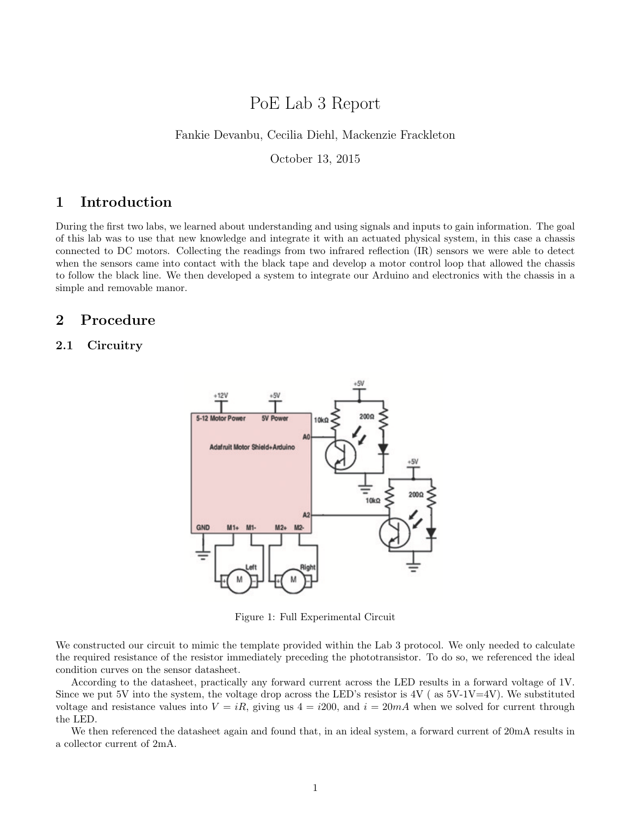# PoE Lab 3 Report

#### Fankie Devanbu, Cecilia Diehl, Mackenzie Frackleton

October 13, 2015

# 1 Introduction

During the first two labs, we learned about understanding and using signals and inputs to gain information. The goal of this lab was to use that new knowledge and integrate it with an actuated physical system, in this case a chassis connected to DC motors. Collecting the readings from two infrared reflection (IR) sensors we were able to detect when the sensors came into contact with the black tape and develop a motor control loop that allowed the chassis to follow the black line. We then developed a system to integrate our Arduino and electronics with the chassis in a simple and removable manor.

# 2 Procedure

## 2.1 Circuitry



Figure 1: Full Experimental Circuit

We constructed our circuit to mimic the template provided within the Lab 3 protocol. We only needed to calculate the required resistance of the resistor immediately preceding the phototransistor. To do so, we referenced the ideal condition curves on the sensor datasheet.

According to the datasheet, practically any forward current across the LED results in a forward voltage of 1V. Since we put 5V into the system, the voltage drop across the LED's resistor is  $4V$  (as  $5V-1V=4V$ ). We substituted voltage and resistance values into  $V = iR$ , giving us  $4 = i200$ , and  $i = 20mA$  when we solved for current through the LED.

We then referenced the datasheet again and found that, in an ideal system, a forward current of 20mA results in a collector current of 2mA.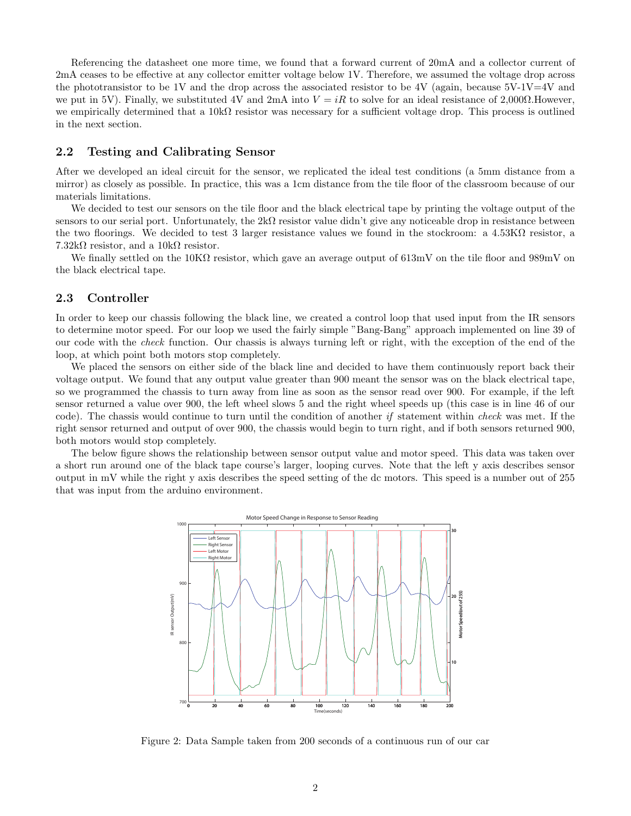Referencing the datasheet one more time, we found that a forward current of 20mA and a collector current of 2mA ceases to be effective at any collector emitter voltage below 1V. Therefore, we assumed the voltage drop across the phototransistor to be 1V and the drop across the associated resistor to be 4V (again, because  $5V-1V=4V$  and we put in 5V). Finally, we substituted 4V and 2mA into  $V = iR$  to solve for an ideal resistance of 2,000 $\Omega$ . However, we empirically determined that a  $10k\Omega$  resistor was necessary for a sufficient voltage drop. This process is outlined in the next section.

#### 2.2 Testing and Calibrating Sensor

After we developed an ideal circuit for the sensor, we replicated the ideal test conditions (a 5mm distance from a mirror) as closely as possible. In practice, this was a 1cm distance from the tile floor of the classroom because of our materials limitations.

We decided to test our sensors on the tile floor and the black electrical tape by printing the voltage output of the sensors to our serial port. Unfortunately, the  $2k\Omega$  resistor value didn't give any noticeable drop in resistance between the two floorings. We decided to test 3 larger resistance values we found in the stockroom: a 4.53KΩ resistor, a  $7.32k\Omega$  resistor, and a  $10k\Omega$  resistor.

We finally settled on the 10KΩ resistor, which gave an average output of 613mV on the tile floor and 989mV on the black electrical tape.

#### 2.3 Controller

In order to keep our chassis following the black line, we created a control loop that used input from the IR sensors to determine motor speed. For our loop we used the fairly simple "Bang-Bang" approach implemented on line 39 of our code with the check function. Our chassis is always turning left or right, with the exception of the end of the loop, at which point both motors stop completely.

We placed the sensors on either side of the black line and decided to have them continuously report back their voltage output. We found that any output value greater than 900 meant the sensor was on the black electrical tape, so we programmed the chassis to turn away from line as soon as the sensor read over 900. For example, if the left sensor returned a value over 900, the left wheel slows 5 and the right wheel speeds up (this case is in line 46 of our code). The chassis would continue to turn until the condition of another if statement within check was met. If the right sensor returned and output of over 900, the chassis would begin to turn right, and if both sensors returned 900, both motors would stop completely.

The below figure shows the relationship between sensor output value and motor speed. This data was taken over a short run around one of the black tape course's larger, looping curves. Note that the left y axis describes sensor output in mV while the right y axis describes the speed setting of the dc motors. This speed is a number out of 255 that was input from the arduino environment.



Figure 2: Data Sample taken from 200 seconds of a continuous run of our car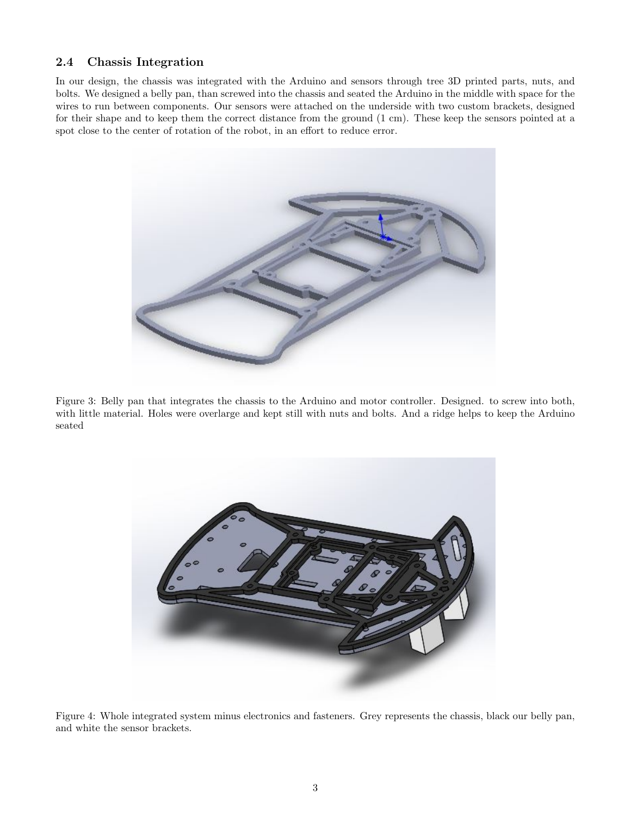### 2.4 Chassis Integration

In our design, the chassis was integrated with the Arduino and sensors through tree 3D printed parts, nuts, and bolts. We designed a belly pan, than screwed into the chassis and seated the Arduino in the middle with space for the wires to run between components. Our sensors were attached on the underside with two custom brackets, designed for their shape and to keep them the correct distance from the ground (1 cm). These keep the sensors pointed at a spot close to the center of rotation of the robot, in an effort to reduce error.



Figure 3: Belly pan that integrates the chassis to the Arduino and motor controller. Designed. to screw into both, with little material. Holes were overlarge and kept still with nuts and bolts. And a ridge helps to keep the Arduino seated



Figure 4: Whole integrated system minus electronics and fasteners. Grey represents the chassis, black our belly pan, and white the sensor brackets.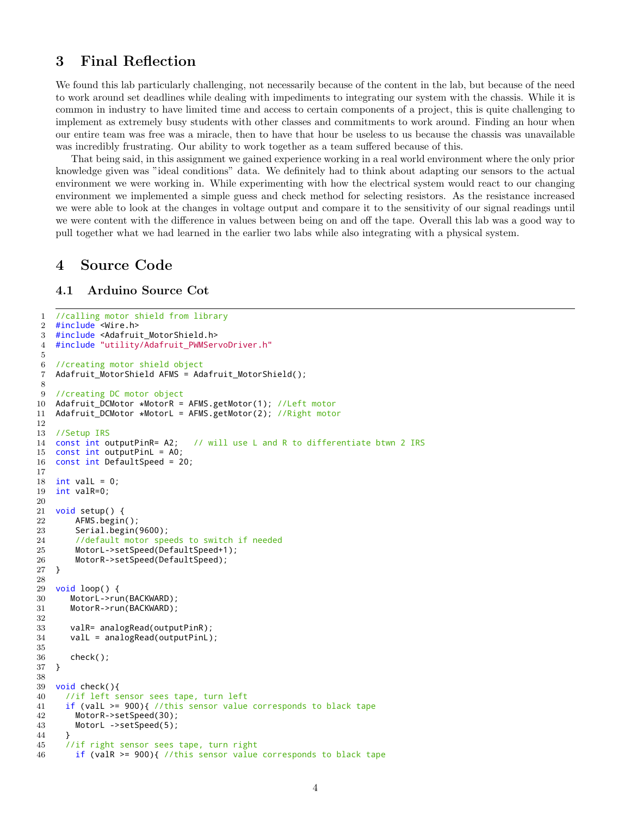# 3 Final Reflection

We found this lab particularly challenging, not necessarily because of the content in the lab, but because of the need to work around set deadlines while dealing with impediments to integrating our system with the chassis. While it is common in industry to have limited time and access to certain components of a project, this is quite challenging to implement as extremely busy students with other classes and commitments to work around. Finding an hour when our entire team was free was a miracle, then to have that hour be useless to us because the chassis was unavailable was incredibly frustrating. Our ability to work together as a team suffered because of this.

That being said, in this assignment we gained experience working in a real world environment where the only prior knowledge given was "ideal conditions" data. We definitely had to think about adapting our sensors to the actual environment we were working in. While experimenting with how the electrical system would react to our changing environment we implemented a simple guess and check method for selecting resistors. As the resistance increased we were able to look at the changes in voltage output and compare it to the sensitivity of our signal readings until we were content with the difference in values between being on and off the tape. Overall this lab was a good way to pull together what we had learned in the earlier two labs while also integrating with a physical system.

### 4 Source Code

### 4.1 Arduino Source Cot

```
1 //calling motor shield from library
2 #include <Wire.h>
3 #include <Adafruit_MotorShield.h>
4 #include "utility/Adafruit_PWMServoDriver.h"
5
6 //creating motor shield object
7 Adafruit_MotorShield AFMS = Adafruit_MotorShield();
8
9 //creating DC motor object
10 Adafruit_DCMotor *MotorR = AFMS.getMotor(1); //Left motor<br>11 Adafruit DCMotor *MotorL = AFMS.getMotor(2); //Right moto
   Adafruit_DCMotor *MotorL = AFMS.getMotor(2); //Right motor
12
13 //Setup IRS
14 const int outputPinR= A2; // will use L and R to differentiate btwn 2 IRS
15 const int outputPinL = A0;
16 const int DefaultSpeed = 20;
17
18 int vall = 0;
19 int valR=0;
20
21 void setup() {
22 AFMS.begin();
23 Serial.begin(9600);
24 //default motor speeds to switch if needed
        MotorL->setSpeed(DefaultSpeed+1);
26 MotorR->setSpeed(DefaultSpeed);
27 }
28
29 void loop() {
30 MotorL->run(BACKWARD);
31 MotorR->run(BACKWARD);
32
33 valR= analogRead(outputPinR);
34 valL = analogRead(outputPinL);
35
36 check();
37 }
38
39 void check(){
40 //if left sensor sees tape, turn left
41 if (valL >= 900){ //this sensor value corresponds to black tape
42 MotorR->setSpeed(30);
43 MotorL ->setSpeed(5);
44 }
45 //if right sensor sees tape, turn right
46 if (valR >= 900){ //this sensor value corresponds to black tape
```